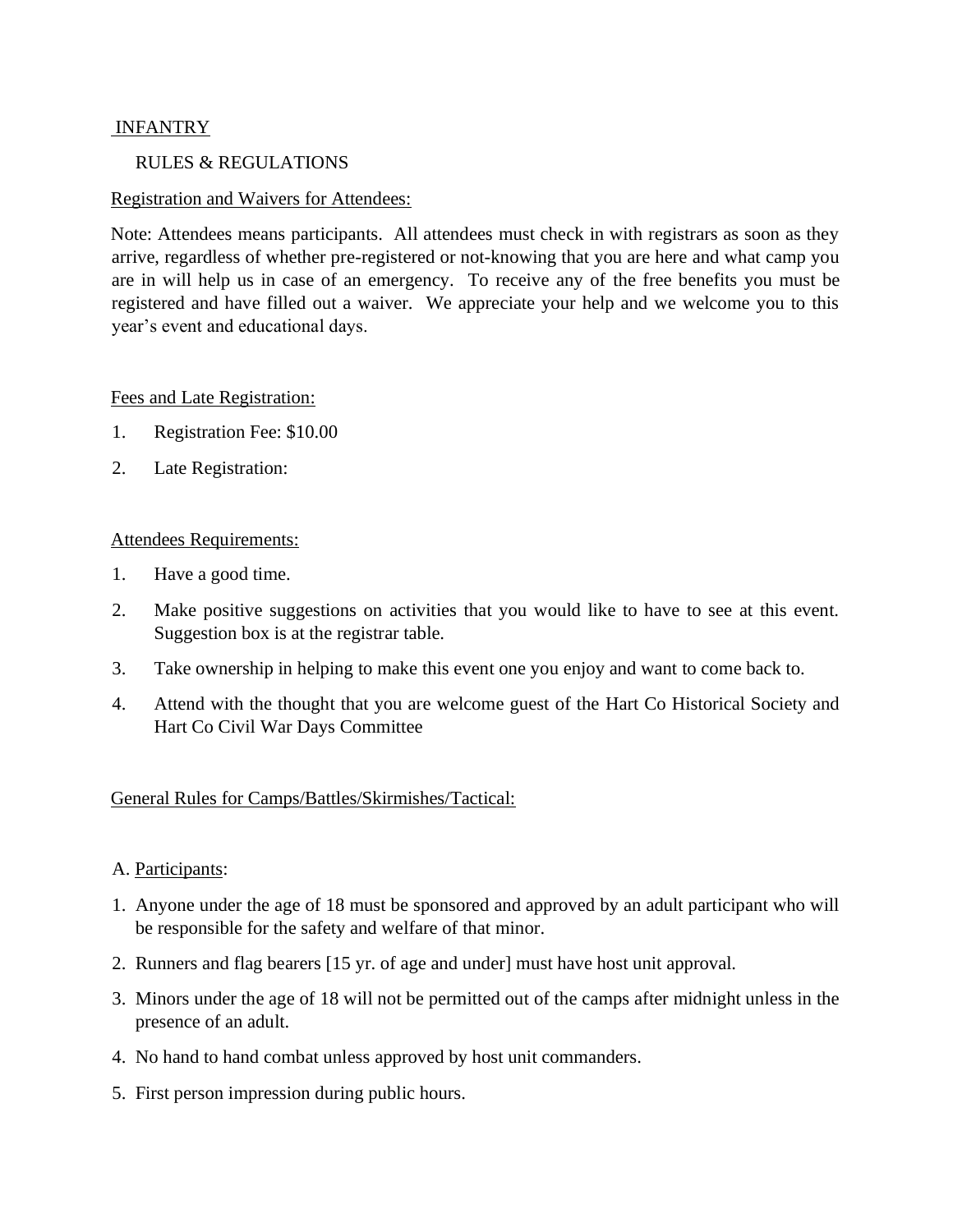# INFANTRY

## RULES & REGULATIONS

## Registration and Waivers for Attendees:

Note: Attendees means participants. All attendees must check in with registrars as soon as they arrive, regardless of whether pre-registered or not-knowing that you are here and what camp you are in will help us in case of an emergency. To receive any of the free benefits you must be registered and have filled out a waiver. We appreciate your help and we welcome you to this year's event and educational days.

## Fees and Late Registration:

- 1. Registration Fee: \$10.00
- 2. Late Registration:

## Attendees Requirements:

- 1. Have a good time.
- 2. Make positive suggestions on activities that you would like to have to see at this event. Suggestion box is at the registrar table.
- 3. Take ownership in helping to make this event one you enjoy and want to come back to.
- 4. Attend with the thought that you are welcome guest of the Hart Co Historical Society and Hart Co Civil War Days Committee

## General Rules for Camps/Battles/Skirmishes/Tactical:

## A. Participants:

- 1. Anyone under the age of 18 must be sponsored and approved by an adult participant who will be responsible for the safety and welfare of that minor.
- 2. Runners and flag bearers [15 yr. of age and under] must have host unit approval.
- 3. Minors under the age of 18 will not be permitted out of the camps after midnight unless in the presence of an adult.
- 4. No hand to hand combat unless approved by host unit commanders.
- 5. First person impression during public hours.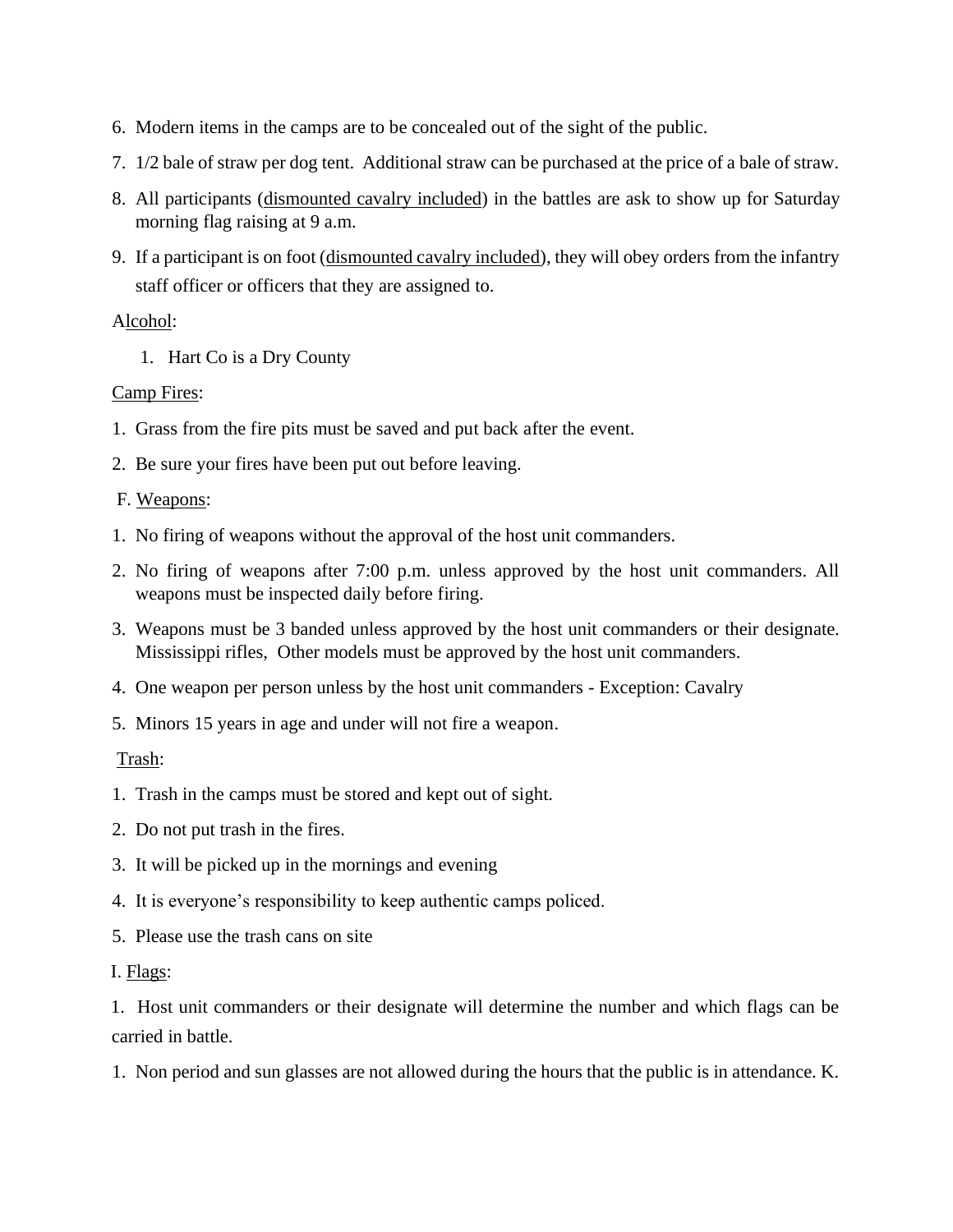- 6. Modern items in the camps are to be concealed out of the sight of the public.
- 7. 1/2 bale of straw per dog tent. Additional straw can be purchased at the price of a bale of straw.
- 8. All participants (dismounted cavalry included) in the battles are ask to show up for Saturday morning flag raising at 9 a.m.
- 9. If a participant is on foot (dismounted cavalry included), they will obey orders from the infantry staff officer or officers that they are assigned to.

## Alcohol:

1. Hart Co is a Dry County

## Camp Fires:

- 1. Grass from the fire pits must be saved and put back after the event.
- 2. Be sure your fires have been put out before leaving.

## F. Weapons:

- 1. No firing of weapons without the approval of the host unit commanders.
- 2. No firing of weapons after 7:00 p.m. unless approved by the host unit commanders. All weapons must be inspected daily before firing.
- 3. Weapons must be 3 banded unless approved by the host unit commanders or their designate. Mississippi rifles, Other models must be approved by the host unit commanders.
- 4. One weapon per person unless by the host unit commanders Exception: Cavalry
- 5. Minors 15 years in age and under will not fire a weapon.

# Trash:

- 1. Trash in the camps must be stored and kept out of sight.
- 2. Do not put trash in the fires.
- 3. It will be picked up in the mornings and evening
- 4. It is everyone's responsibility to keep authentic camps policed.
- 5. Please use the trash cans on site
- I. Flags:

1. Host unit commanders or their designate will determine the number and which flags can be carried in battle.

1. Non period and sun glasses are not allowed during the hours that the public is in attendance. K.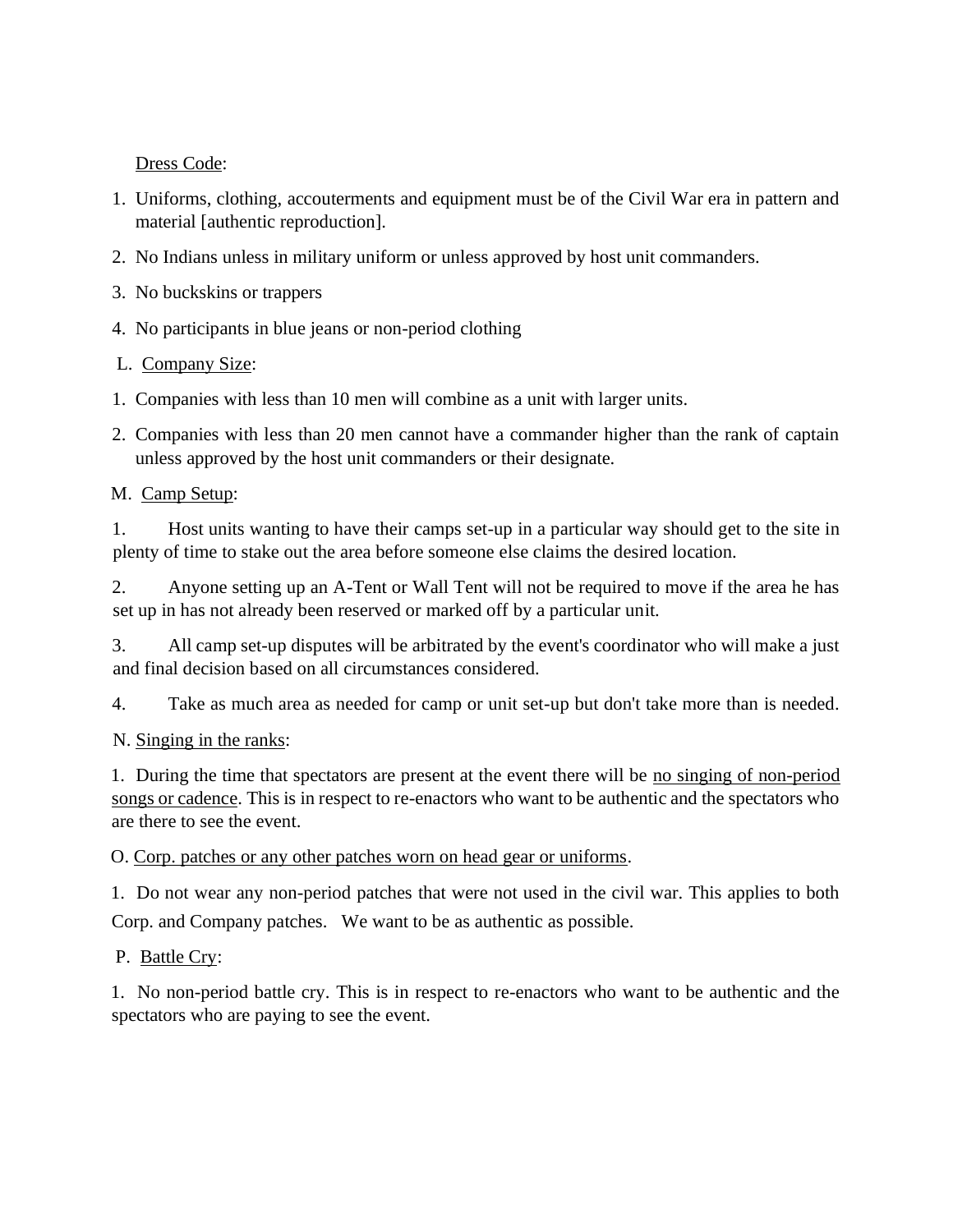Dress Code:

- 1. Uniforms, clothing, accouterments and equipment must be of the Civil War era in pattern and material [authentic reproduction].
- 2. No Indians unless in military uniform or unless approved by host unit commanders.
- 3. No buckskins or trappers

4. No participants in blue jeans or non-period clothing

# L. Company Size:

- 1. Companies with less than 10 men will combine as a unit with larger units.
- 2. Companies with less than 20 men cannot have a commander higher than the rank of captain unless approved by the host unit commanders or their designate.

# M. Camp Setup:

1. Host units wanting to have their camps set-up in a particular way should get to the site in plenty of time to stake out the area before someone else claims the desired location.

2. Anyone setting up an A-Tent or Wall Tent will not be required to move if the area he has set up in has not already been reserved or marked off by a particular unit.

3. All camp set-up disputes will be arbitrated by the event's coordinator who will make a just and final decision based on all circumstances considered.

4. Take as much area as needed for camp or unit set-up but don't take more than is needed.

# N. Singing in the ranks:

1. During the time that spectators are present at the event there will be no singing of non-period songs or cadence. This is in respect to re-enactors who want to be authentic and the spectators who are there to see the event.

O. Corp. patches or any other patches worn on head gear or uniforms.

1. Do not wear any non-period patches that were not used in the civil war. This applies to both Corp. and Company patches. We want to be as authentic as possible.

# P. Battle Cry:

1. No non-period battle cry. This is in respect to re-enactors who want to be authentic and the spectators who are paying to see the event.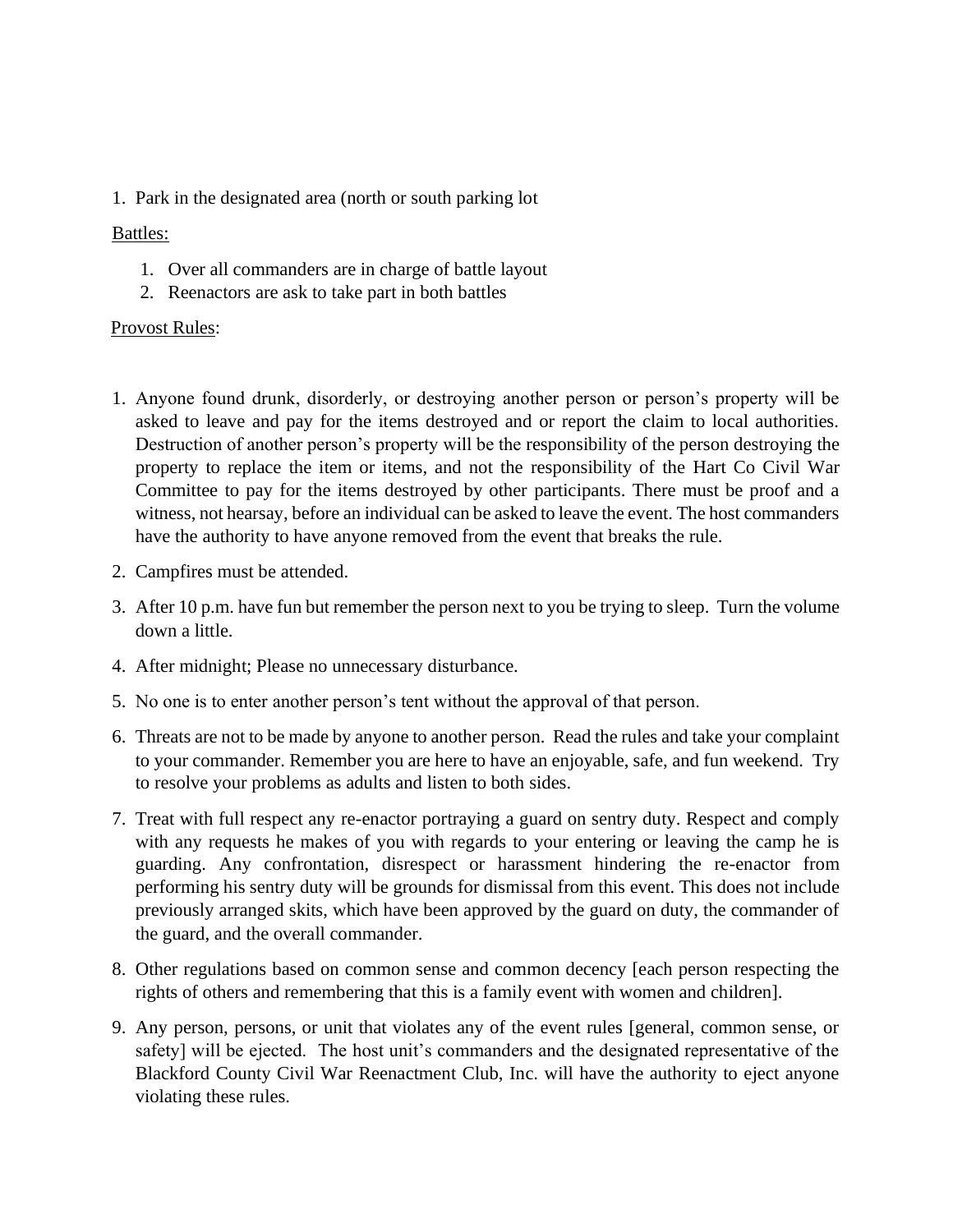1. Park in the designated area (north or south parking lot

## Battles:

- 1. Over all commanders are in charge of battle layout
- 2. Reenactors are ask to take part in both battles

## Provost Rules:

- 1. Anyone found drunk, disorderly, or destroying another person or person's property will be asked to leave and pay for the items destroyed and or report the claim to local authorities. Destruction of another person's property will be the responsibility of the person destroying the property to replace the item or items, and not the responsibility of the Hart Co Civil War Committee to pay for the items destroyed by other participants. There must be proof and a witness, not hearsay, before an individual can be asked to leave the event. The host commanders have the authority to have anyone removed from the event that breaks the rule.
- 2. Campfires must be attended.
- 3. After 10 p.m. have fun but remember the person next to you be trying to sleep. Turn the volume down a little.
- 4. After midnight; Please no unnecessary disturbance.
- 5. No one is to enter another person's tent without the approval of that person.
- 6. Threats are not to be made by anyone to another person. Read the rules and take your complaint to your commander. Remember you are here to have an enjoyable, safe, and fun weekend. Try to resolve your problems as adults and listen to both sides.
- 7. Treat with full respect any re-enactor portraying a guard on sentry duty. Respect and comply with any requests he makes of you with regards to your entering or leaving the camp he is guarding. Any confrontation, disrespect or harassment hindering the re-enactor from performing his sentry duty will be grounds for dismissal from this event. This does not include previously arranged skits, which have been approved by the guard on duty, the commander of the guard, and the overall commander.
- 8. Other regulations based on common sense and common decency [each person respecting the rights of others and remembering that this is a family event with women and children].
- 9. Any person, persons, or unit that violates any of the event rules [general, common sense, or safety] will be ejected. The host unit's commanders and the designated representative of the Blackford County Civil War Reenactment Club, Inc. will have the authority to eject anyone violating these rules.